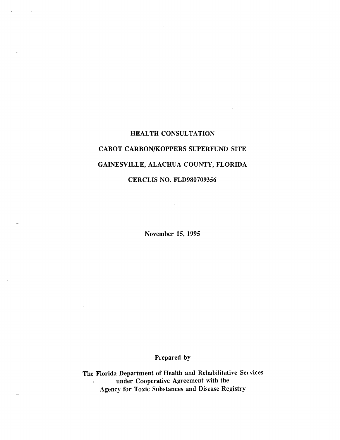# HEALTH CONSULTATION CABOT CARBON/KOPPERS SUPERFUND SITE GAINESVILLE, ALACHUA COUNTY, FLORIDA CERCLIS NO. FLD980709356

November 15, 1995

# Prepared by

The Florida Department of Health and Rehabilitative Services under Cooperative Agreement with the Agency for Toxic Substances and Disease Registry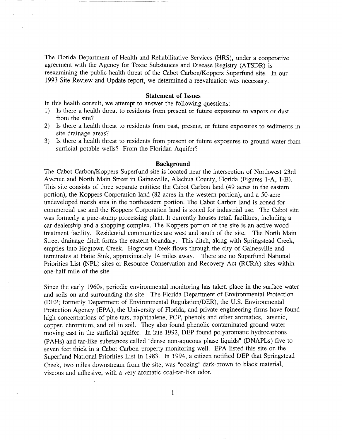The Florida Department of Health and Rehabilitative Services (HRS), under a cooperative agreement with the Agency for Toxic Substances and Disease Registry (ATSDR) is reexamining the public health threat of the Cabot Carbon/Koppers Superfund site. In our 1993 Site Review and Update report, we determined a reevaluation was necessary.

# **Statement of Issues**

In this health consult, we attempt to answer the following questions:

- 1) Is there a health threat to residents from present or future exposures to vapors or dust from the site?
- 2) Is there a health threat to residents from past, present, or future exposures to sediments in site drainage areas?
- 3) Is there a health threat to residents from present or future exposures to ground water from surficial potable wells? From the Floridan Aquifer?

### **Background**

The Cabot Carbon/Koppers Superfund site is located near the intersection of Northwest 23rd Avenue and North Main Street in Gainesville, Alachua County, Florida (Figures I-A, I-B). This site consists of three separate entities: the Cabot Carbon land (49 acres in the eastern portion), the Koppers Corporation land (82 acres in the western portion), and a 50-acre undeveloped marsh area in the northeastern portion. The Cabot Carbon land is zoned for commercial use and the Koppers Corporation land is zoned for industrial use. The Cabot site was formerly a pine-stump processing plant. It currently houses retail facilities, including a car dealership and a shopping complex. The Koppers portion of the site is an active wood treatment facility. Residential communities are west and south of the site. The North Main Street drainage ditch forms the eastern boundary. This ditch, along with Springstead Creek, empties into Hogtown Creek. Hogtown Creek flows through the city of Gainesville and terminates at Haile Sink, approximately 14 miles away. There are no Superfund National Priorities List (NPL) sites or Resource Conservation and Recovery Act (RCRA) sites within one-half mile of the site.

Since the early 1960s, periodic environmental monitoring has taken place in the surface water and soils on and surrounding the site. The Florida Department of Environmental Protection (DEP; formerly Department of Environmental RegulationjDER), the U.S. Environmental Protection Agency (EPA), the University of Florida, and private engineering firms have found high concentrations of pine tars, naphthalene, PCP, phenols and other aromatics, arsenic, copper, chromium, and oil in soil. They also found phenolic contaminated ground water moving east in the surficial aquifer. In late 1992, DEP found polyaromatic hydrocarbons (PAHs) and tar-like substances called "dense non-aqueous phase liquids" (DNAPLs) five to seven feet thick in a Cabot Carbon property monitoring well. EPA listed this site on the Superfund National Priorities List in 1983. In 1994, a citizen notified DEP that Springstead Creek, two miles downstream from the site, was "oozing" dark-brown to black material, viscous and adhesive, with a very aromatic coal-tar-like odor.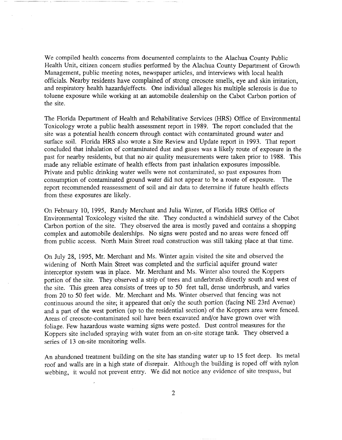We compiled health concerns from documented complaints to the Alachua County Public Health Unit, citizen concern studies performed by the Alachua County Department of Growth Management, public meeting notes, newspaper articles, and interviews with local health officials. Nearby residents have complained of strong creosote smells, eye and skin irritation, and respiratory health hazards/effects. One individual alleges his multiple sclerosis is due to toluene exposure while working at an automobile dealership on the Cabot Carbon portion of the site.

The Florida Department of Health and Rehabilitative Services (HRS) Office of Environmental Toxicology wrote a public health assessment report in 1989. The report concluded that the site was a potential health concern through contact with contaminated ground water and surface soil. Florida HRS also wrote a Site Review and Update report in 1993. That report concluded that inhalation of contaminated dust and gases was a likely route of exposure in the past for nearby residents, but that no air quality measurements were taken prior to 1988. This made any reliable estimate of health effects from past inhalation exposures impossible. Private and public drinking water wells were not contaminated, so past exposures from consumption of contaminated ground water did not appear to be a route of exposure. The report recommended reassessment of soil and air data to determine if future health effects from these exposures are likely.

On February 10, 1995, Randy Merchant and Julia Winter, of Florida HRS Office of Environmental Toxicology visited the site. They conducted a windshield survey of the Cabot Carbon portion of the site. They observed the area is mostly paved and contains a shopping complex and automobile dealerships. No signs were posted and no areas were fenced off from public access. North Main Street road construction was still taking place at that time.

On July 28, 1995, Mr. Merchant and Ms. Winter again visited the site and observed the widening of North Main Street was completed and the surficial aquifer ground water interceptor system was in place. Mr. Merchant and Ms. Winter also toured the Koppers portion of the site. They observed a strip of trees and underbrush directly south and west of the site. This green area consists of trees up to 50 feet tall, dense underbrush, and varies from 20 to 50 feet wide. Mr. Merchant and Ms. Winter observed that fencing was not continuous around the site; it appeared that only the south portion (facing NE 23rd Avenue) and a part of the west portion (up to the residential section) of the Koppers area were fenced. Areas of creosote-contaminated soil have been excavated and/or have grown over with foliage. Few hazardous waste warning signs were posted. Dust control measures for the Koppers site included spraying with water from an on-site storage tank. They observed a series of 13 on-site monitoring wells.

An abandoned treatment building on the site has standing water up to 15 feet deep. Its metal roof and walls are in a high state of disrepair. Although the building is roped off with nylon webbing, it would not prevent entry. We did not notice any evidence of site trespass, but

2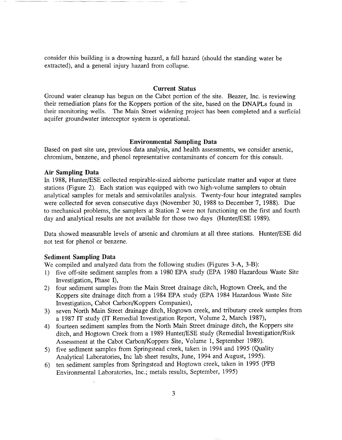consider this building is a drowning hazard, a fall hazard (should the standing water be extracted), and a general injury hazard from collapse.

# **Current Status**

Ground water cleanup has begun on the Cabot portion of the site. Beazer, Inc. is reviewing their remediation plans for the Koppers portion of the site, based on the DNAPLs found in their monitoring wells. The Main Street widening project has been completed and a surficial aquifer groundwater interceptor system is operational.

## **Environmental Sampling Data**

Based on past site use, previous data analysis, and health assessments, we consider arsenic, chromium, benzene, and phenol representative contaminants of concern for this consult.

## **Air Sampling Data**

In 1988, Hunter/ESE collected respirable-sized airborne particulate matter and vapor at three stations (Figure 2). Each station was equipped with two high-volume samplers to obtain analytical samples for metals and sernivolatiles analysis. Twenty-four hour integrated samples were collected for seven consecutive days (November 30, 1988 to December 7, 1988). Due to mechanical problems, the samplers at Station 2 were not functioning on the first and fourth day and analytical results are not available for those two days (Hunter/ESE 1989).

Data showed measurable levels of arsenic and chromium at all three stations. Hunter/ESE did not test for phenol or benzene.

### **Sediment Sampling Data**

We compiled and analyzed data from the following studies (Figures 3-A, 3-B):

- 1) five off-site sediment samples from a 1980 EPA study (EPA 1980 Hazardous Waste Site Investigation, Phase I),
- 2) four sediment samples from the Main Street drainage ditch, Hogtown Creek, and the Koppers site drainage ditch from a 1984 EPA study (EPA 1984 Hazardous Waste Site Investigation, Cabot Carbon/Koppers Companies),
- 3) seven North Main Street drainage ditch, Hogtown creek, and tributary creek samples from a 1987 **IT** study (IT Remedial Investigation Report, Volume 2, March 1987),
- 4) fourteen sediment samples from the North Main Street drainage ditch, the Koppers site ditch, and Hogtown Creek from a 1989 Hunter/ESE study (Remedial Investigation/Risk Assessment at the Cabot Carbon/Koppers Site, Volume 1, September 1989).
- 5) five sediment samples from Springstead creek, taken in 1994 and 1995 (Quality Analytical Laboratories, Inc lab sheet results, June, 1994 and August, 1995).
- 6) ten sediment samples from Springstead and Hogtown creek, taken in 1995 (PPB Environmental Laboratories, Inc.; metals results, September, 1995)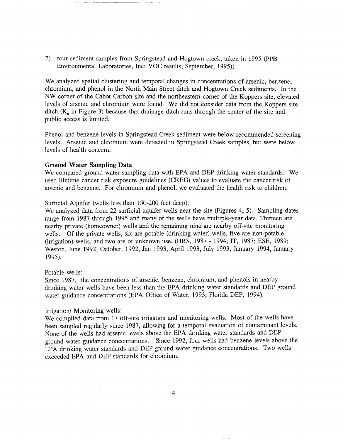7) four sediment samples from Springstead and Hogtown creek, taken in 1995 (PPB Environmental Laboratories, Inc; VOC results, September, 1995))

We analyzed spatial clustering and temporal changes in concentrations of arsenic, benzene, chromium, and phenol in the North Main Street ditch and Hogtown Creek sediments. In the NW comer of the Cabot Carbon site and the northeastern comer of the Koppers site, elevated levels of arsenic and chromium were found. We did not consider data from the Koppers site ditch  $(K_n$  in Figure 3) because that drainage ditch runs through the center of the site and public access is limited.

Phenol and benzene levels in Springstead Creek sediment were below recommended screening levels. Arsenic and chromium were detected in Springstead Creek samples, but were below levels of health concern.

## **Ground Water Sampling Data**

We compared ground water sampling data with EPA and DEP drinking water standards. We used lifetime cancer risk exposure guidelines (CREG) values to evaluate the cancer risk of arsenic and benzene. For chromium and phenol, we evaluated the health risk to children.

#### Surficial Aquifer (wells less than 150-200 feet deep):

We analyzed data from 22 surficial aquifer wells near the site (Figures 4, 5). Sampling dates range from 1987 through 1995 and many of the wells have multiple-year data. Thirteen are nearby private (homeowner) wells and the remaining nine are nearby off-site monitoring wells. Of the private wells, six are potable (drinking water) wells, five are non-potable (irrigation) wells, and two are of unknown use. (HRS, 1987 - 1994; IT, 1987; ESE, 1989; Weston, June 1992, October, 1992, Jan 1993, April 1993, July 1993, January 1994, January 1995).

#### Potable wells:

Since 1987, the concentrations of arsenic, benzene, chromium, and phenols in nearby drinking water wells have been less than the EPA drinking water standards and DEP ground water guidance concentrations (EPA Office of Water, 1993; Florida DEP, 1994).

#### Irrigation/ Monitoring wells:

We compiled data from 17 off-site irrigation and monitoring wells. Most of the wells have been sampled regularly since 1987, allowing for a temporal evaluation of contaminant levels. None of the wells had arsenic levels above the EPA drinking water standards and DEP ground water guidance concentrations. Since 1992, four wells had benzene levels above the EPA drinking water standards and DEP ground water guidance concentrations. Two wells exceeded EPA and DEP standards for chromium.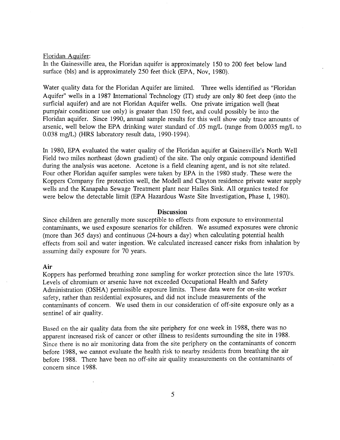#### Floridan Aquifer:

In the Gainesville area, the Floridan aquifer is approximately 150 to 200 feet below land surface (bls) and is approximately 250 feet thick (EPA, Nov, 1980).

Water quality data for the Floridan Aquifer are limited. Three wells identified as "Floridan Aquifer" wells in a 1987 International Technology (IT) study are only 80 feet deep (into the surficial aquifer) and are not Floridan Aquifer wells. One private irrigation well (heat pump/air conditioner use only) is greater than 150 feet, and could possibly be into the Floridan aquifer. Since 1990, annual sample results for this well show only trace amounts of arsenic, well below the EPA drinking water standard of .05 mg/L (range from 0.0035 mg/L to 0.038 mg/L) (HRS laboratory result data, 1990-1994).

In 1980, EPA evaluated the water quality of the Floridan aquifer at Gainesville's North Well Field two miles northeast (down gradient) of the site. The only organic compound identified during the analysis was acetone. Acetone is a field cleaning agent, and is not site related. Four other Floridan aquifer samples were taken by EPA in the 1980 study. These were the Koppers Company fire protection well, the Modell and Clayton residence private water supply wells and the Kanapaha Sewage Treatment plant near Hailes Sink. All organics tested for were below the detectable limit (EPA Hazardous Waste Site Investigation, Phase I, 1980).

## **Discussion**

Since children are generally more susceptible to effects from exposure to environmental contaminants, we used exposure scenarios for children. We assumed exposures were chronic (more than 365 days) and continuous (24-hours a day) when calculating potential health effects from soil and water ingestion. We calculated increased cancer risks from inhalation by assuming daily exposure for 70 years.

#### **Air**

Koppers has performed breathing zone sampling for worker protection since the late 1970's. Levels of chromium or arsenic have not exceeded Occupational Health and Safety Administration (OSHA) permissible exposure limits. These data were for on-site worker safety, rather than residential exposures, and did not include measurements of the contaminants of concern. We used them in our consideration of off-site exposure only as a sentinel of air quality.

Based on the air quality data from the site periphery for one week in 1988, there was no apparent increased risk of cancer or other illness to residents surrounding the site in 1988. Since there is no air monitoring data from the site periphery on the contaminants of concern before 1988, we cannot evaluate the health risk to nearby residents from breathing the air before 1988. There have been no off-site air quality measurements on the contaminants of concern since 1988.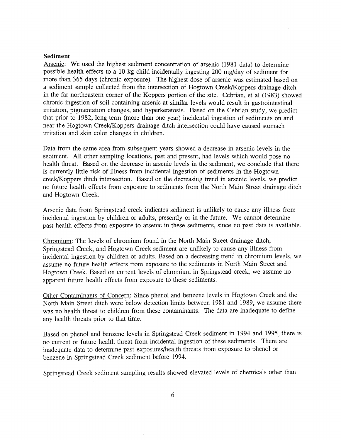#### **Sediment**

Arsenic: We used the highest sediment concentration of arsenic (1981 data) to determine possible health effects to a 10 kg child incidentally ingesting 200 mg/day of sediment for more than 365 days (chronic exposure). The highest dose of arsenic was estimated based on a sediment sample collected from the intersection of Hogtown Creek/Koppers drainage ditch in the far northeastern comer of the Koppers portion of the site. Cebrian, et al (1983) showed chronic ingestion of soil containing arsenic at similar levels would result in gastrointestinal irritation, pigmentation changes, and hyperkeratosis. Based on the Cebrian study, we predict that prior to 1982, long term (more than one year) incidental ingestion of sediments on and near the Hogtown Creek/Koppers drainage ditch intersection could have caused stomach irritation and skin color changes in children.

Data from the same area from subsequent years showed a decrease in arsenic levels in the sediment. All other sampling locations, past and present, had levels which would pose no health threat. Based on the decrease in arsenic levels in the sediment, we conclude that there is currently little risk of illness from incidental ingestion of sediments in the Hogtown creek/Koppers ditch intersection. Based on the decreasing trend in arsenic levels, we predict no future health effects from exposure to sediments from the North Main Street drainage ditch and Hogtown Creek.

Arsenic data from Springstead creek indicates sediment is unlikely to cause any illness from incidental ingestion by children or adults, presently or in the future. We cannot determine past health effects from exposure to arsenic in these sediments, since no past data is available.

Chromium: The levels of chromium found in the North Main Street drainage ditch, Springstead Creek, and Hogtown Creek sediment are unlikely to cause any illness from incidental ingestion by children or adults. Based on a decreasing trend in chromium levels, we assume no future health effects from exposure to the sediments in North Main Street and Hogtown Creek. Based on current levels of chromium in Springstead creek, we assume no apparent future health effects from exposure to these sediments.

Other Contaminants of Concern: Since phenol and benzene levels in Hogtown Creek and the North Main Street ditch were below detection limits between 1981 and 1989, we assume there was no health threat to children from these contaminants. The data are inadequate to define any health threats prior to that time.

Based on phenol and benzene levels in Springstead Creek sediment in 1994 and 1995, there is no current or future health threat from incidental ingestion of these sediments. There are inadequate data to determine past exposures/health threats from exposure to phenol or benzene in Springstead Creek sediment before 1994.

Springstead Creek sediment sampling results showed elevated levels of chemicals other than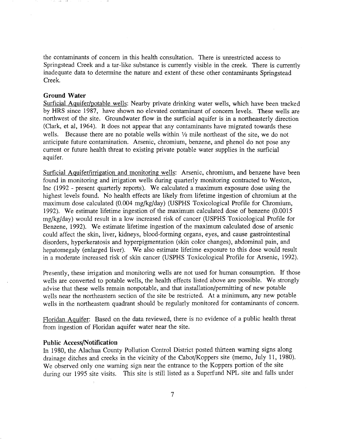the contaminants of concern in this health consultation. There is umestricted access to Springstead Creek and a tar-like substance is currently visible in the creek. There is currently inadequate data to determine the nature and extent of these other contaminants Springstead Creek.

## **Ground Water**

Surficial Aquifer/potable wells: Nearby private drinking water wells, which have been tracked by HRS since 1987, have shown no elevated contaminant of concern levels. These wells are northwest of the site. Groundwater flow in the surficial aquifer is in a northeasterly direction (Clark, et aI, 1964). It does not appear that any contaminants have migrated towards these wells. Because there are no potable wells within  $\frac{1}{2}$  mile northeast of the site, we do not anticipate future contamination. Arsenic, chromium, benzene, and phenol do not pose any current or future health threat to existing private potable water supplies in the surficial aquifer.

Surficial Aquifer/irrigation and monitoring wells: Arsenic, chromium, and benzene have been found in monitoring and irrigation wells during quarterly monitoring contracted to Weston, Inc (1992 - present quarterly reports). We calculated a maximum exposure dose using the highest levels found. No health effects are likely from lifetime ingestion of chromium at the maximum dose calculated (0.004 mg/kg/day) (USPHS Toxicological Profile for Chromium, 1992). We estimate lifetime ingestion of the maximum calculated dose of benzene (0.0015 mg/kg/day) would result in a low increased risk of cancer (USPHS Toxicological Profile for Benzene, 1992). We estimate lifetime ingestion of the maximum calculated dose of arsenic could affect the skin, liver, kidneys, blood-forming organs, eyes, and cause gastrointestinal disorders, hyperkeratosis and hyperpigmentation (skin color changes), abdominal pain, and hepatomegaly (enlarged liver). We also estimate lifetime exposure to this dose would result in a moderate increased risk of skin cancer (USPHS Toxicological Profile for Arsenic, 1992).

Presently, these irrigation and monitoring wells are not used for human consumption. If those wells are converted to potable wells, the health effects listed above are possible. We strongly advise that these wells remain nonpotable, and that installation/permitting of new potable wells near the northeastern section of the site be restricted. At a minimum, any new potable wells in the northeastern quadrant should be regularly monitored for contaminants of concern.

Floridan Aquifer: Based on the data reviewed, there is no evidence of a public health threat from ingestion of Floridan aquifer water near the site.

### **Public Access/Notification**

In 1980, the Alachua County Pollution Control District posted thirteen warning signs along drainage ditches and creeks in the vicinity of the Cabot/Koppers site (memo, July 11, 1980). We observed only one warning sign near the entrance to the Koppers portion of the site during our 1995 site visits. This site is still listed as a Superfund NPL site and falls under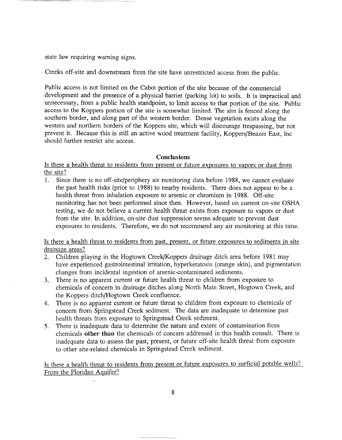state law requiring warning signs.

Creeks off-site and downstream from the site have umestricted access from the public.

Public access is not limited on the Cabot portion of the site because of the commercial development and the presence of a physical barrier (parking lot) to soils. It is impractical and unnecessary, from a public health standpoint, to limit access to that portion of the site. Public access to the Koppers portion of the site is somewhat limited. The site is fenced along the southern border, and along part of the western border. Dense vegetation exists along the western and northern borders of the Koppers site, which will discourage trespassing, but not prevent it. Because this is still an active wood treatment facility, Koppers/Beazer East, Inc should further restrict site access.

# **Conclusions**

Is there a health threat to residents from present or future exposures to vapors or dust from the site?

1. Since there is no off-site/periphery air monitoring data before 1988, we cannot evaluate the past health risks (prior to 1988) to nearby residents. There does not appear to be a health threat from inhalation exposure to arsenic or chromium in 1988. Off-site monitoring has not been performed since then. However, based on current on-site OSHA testing, we do not believe a current health threat exists from exposure to vapors or dust from the site. In addition, on-site dust suppression seems adequate to prevent dust exposures to residents. Therefore, we do not recommend any air monitoring at this time.

Is there a health threat to residents from past, present, or future exposures to sediments in site drainage areas?

- 2. Children playing in the Hogtown Creek/Koppers drainage ditch area before 1981 may have experienced gastrointestinal irritation, hyperkeratosis (orange skin), and pigmentation changes from incidental ingestion of arsenic-contaminated sediments.
- 3. There is no apparent current or future health threat to children from exposure to chemicals of concern in drainage ditches along North Main Street, Hogtown Creek, and the Koppers ditch/Hogtown Creek confluence.
- 4. There is no apparent current or future threat to children from exposure to chemicals of concern from Springstead Creek sediment. The data are inadequate to determine past health threats from exposure to Springstead Creek sediment.
- 5. There is inadequate data to determine the nature and extent of contamination from chemicals **other than** the chemicals of concern addressed in this health consult. There is inadequate data to assess the past, present, or future off-site health threat from exposure to other site-related chemicals in Springstead Creek sediment.

Is there a health threat to residents from present or future exposures to surficial potable wells? From the Floridan Aquifer?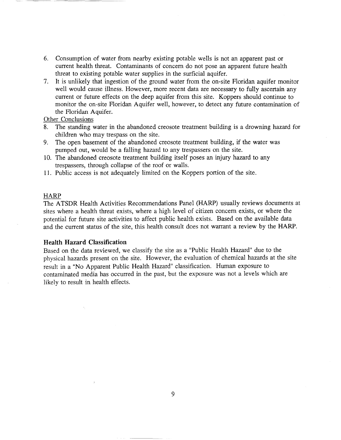- 6. Consumption of water from nearby existing potable wells is not an apparent past or current health threat. Contaminants of concern do not pose an apparent future health threat to existing potable water supplies in the surficial aquifer.
- 7. It is unlikely that ingestion of the ground water from the on-site Floridan aquifer monitor well would cause illness. However, more recent data are necessary to fully ascertain any current or future effects on the deep aquifer from this site. Koppers should continue to monitor the on-site Floridan Aquifer well, however, to detect any future contamination of the Floridan Aquifer.

# Other Conclusions

- 8. The standing water in the abandoned creosote treatment building is a drowning hazard for children who may trespass on the site.
- 9. The open basement of the abandoned creosote treatment building, if the water was pumped out, would be a falling hazard to any trespassers on the site.
- 10. The abandoned creosote treatment building itself poses an injury hazard to any trespassers, through collapse of the roof or walls.
- 11. Public access is not adequately limited on the Koppers portion of the site.

#### **HARP**

The ATSDR Health Activities Recommendations Panel (HARP) usually reviews documents at sites where a health threat exists, where a high level of citizen concern exists, or where the potential for future site activities to affect public health exists. Based on the available data and the current status of the site, this health consult does not warrant a review by the HARP.

## Health Hazard Classification

Based on the data reviewed, we classify the site as a "Public Health Hazard" due to the physical hazards present on the site. However, the evaluation of chemical hazards at the site result in a "No Apparent Public Health Hazard" classification. Human exposure to contaminated media has occurred in the past, but the exposure was not a levels which are likely to result in health effects.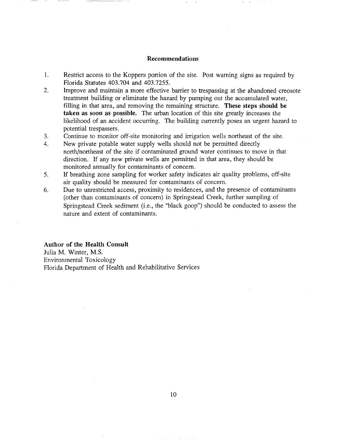### Recommendations

- 1. Restrict access to the Koppers portion of the site. Post warning signs as required by Florida Statutes 403.704 and 403.7255.
- 2. Improve and maintain a more effective barrier to trespassing at the abandoned creosote treatment building or eliminate the hazard by pumping out the accumulated water, filling in that area, and removing the remaining structure. These steps should be taken as soon as possible. The urban location of this site greatly increases the likelihood of an accident occurring. The building currently poses an urgent hazard to potential trespassers.
- 3. Continue to monitor off-site monitoring and irrigation wells northeast of the site.
- 4. New private potable water supply wells should not be permitted directly north/northeast of the site if contaminated ground water continues to move in that direction. If any new private wells are permitted in that area, they should be monitored annually for contaminants of concern.
- 5. If breathing zone sampling for worker safety indicates air quality problems, off-site air quality should be measured for contaminants of concern.
- 6. Due to unrestricted access, proximity to residences, and the presence of contaminants (other than contaminants of concern) in Springstead Creek, further sampling of Springstead Creek sediment (i.e., the "black goop") should be conducted to assess the nature and extent of contaminants.

Author of the Health Consult

Julia M. Winter, M.S. Environmental Toxicology Florida Department of Health and Rehabilitative Services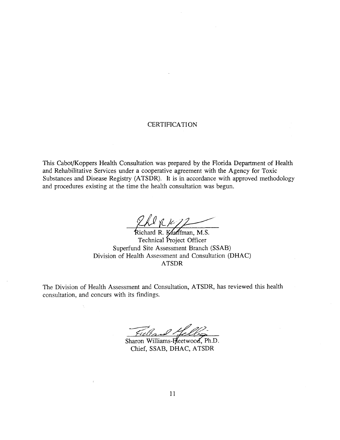# **CERTIFICATION**

This Cabot/Koppers Health Consultation was prepared by the Florida Department of Health and Rehabilitative Services under a cooperative agreement with the Agency for Toxic Substances and Disease Registry (ATSDR). It is in accordance with approved methodology and procedures existing at the time the health consultation was begun.

The Report of Richard R. Kauffman, M.S.

Technical Project Officer Superfund Site Assessment Branch (SSAB) Division of Health Assessment and Consultation (DHAC) ATSDR

The Division of Health Assessment and Consultation, ATSDR, has reviewed this health consultation, and concurs with its findings.

Fulland Helle

Chief, SSAB, DHAC, ATSDR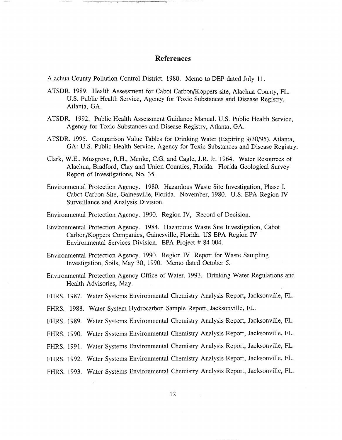# **References**

Alachua County Pollution Control District. 1980. Memo to DEP dated July 11.

- ATSDR. 1989. Health Assessment for Cabot Carbon/Koppers site, Alachua County, FL. U.S. Public Health Service, Agency for Toxic Substances and Disease Registry, Atlanta, GA.
- ATSDR. 1992. Public Health Assessment Guidance Manual. U.S. Public Health Service, Agency for Toxic Substances and Disease Registry, Atlanta, GA.
- ATSDR 1995. Comparison Value Tables for Drinking Water (Expiring 9/30/95). Atlanta, GA: U.S. Public Health Service, Agency for Toxic Substances and Disease Registry.
- Clark, W.E., Musgrove, RH., Menke, e.G, and Cagle, l.R *lr.* 1964. Water Resources of Alachua, Bradford, Clay and Union Counties, Florida. Florida Geological Survey Report of Investigations, No. 35.
- Environmental Protection Agency. 1980. Hazardous Waste Site Investigation, Phase I. Cabot Carbon Site, Gainesville, Florida. November, 1980. U.S. EPA Region IV Surveillance and Analysis Division.

Environmental Protection Agency. 1990. Region IV, Record of Decision.

- Environmental Protection Agency. 1984. Hazardous Waste Site Investigation, Cabot Carbon/Koppers Companies, Gainesville, Florida. US EPA Region IV Environmental Services Division. EPA Project # 84-004.
- Environmental Protection Agency. 1990. Region IV Report for Waste Sampling Investigation, Soils, May 30, 1990. Memo dated October 5.
- Environmental Protection Agency Office of Water. 1993. Drinking Water Regulations and Health Advisories, May.
- FHRS. 1987. Water Systems Environmental Chemistry Analysis Report, Jacksonville, FL.
- FHRS. 1988. Water System Hydrocarbon Sample Report, Jacksonville, FL.
- FHRS. 1989. Water Systems Environmental Chemistry Analysis Report, Jacksonville, FL.
- FHRS. 1990. Water Systems Environmental Chemistry Analysis Report, Jacksonville, FL.
- FHRS. 1991. Water Systems Environmental Chemistry Analysis Report, Jacksonville, FL.
- FHRS. 1992. Water Systems Environmental Chemistry Analysis Report, Jacksonville, FL.
- FHRS. 1993. Water Systems Environmental Chemistry Analysis Report, Jacksonville, FL.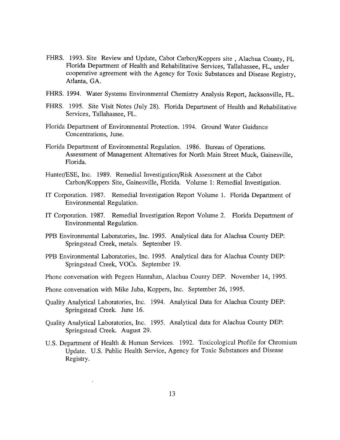- FHRS. 1993. Site Review and Update, Cabot Carbon/Koppers site, Alachua County, FL Florida Department of Health and Rehabilitative Services, Tallahassee, FL, under cooperative agreement with the Agency for Toxic Substances and Disease Registry, Atlanta, GA.
- FHRS. 1994. Water Systems Environmental Chemistry Analysis Report, Jacksonville, FL.
- FHRS. 1995. Site Visit Notes (July 28). Florida Department of Health and Rehabilitative Services, Tallahassee, FL.
- Florida Department of Environmental Protection. 1994. Ground Water Guidance Concentrations, June.
- Florida Department of Environmental Regulation. 1986. Bureau of Operations. Assessment of Management Alternatives for North Main Street Muck, Gainesville, Florida.
- Hunter/ESE, Inc. 1989. Remedial Investigation/Risk Assessment at the Cabot Carbon/Koppers Site, Gainesville, Florida. Volume 1: Remedial Investigation.
- IT Corporation. 1987. Remedial Investigation Report Volume 1. Florida Department of Environmental Regulation.
- IT Corporation. 1987. Remedial Investigation Report Volume 2. Florida Department of Environmental Regulation.
- PPB Environmental Laboratories, Inc. 1995. Analytical data for Alachua County DEP: Springstead Creek, metals. September 19.
- PPB Environmental Laboratories, Inc. 1995. Analytical data for Alachua County DEP: Springstead Creek, VOCs. September 19.
- Phone conversation with Pegeen Hamahan, Alachua County DEP. November 14, 1995.

Phone conversation with Mike Juba, Koppers, Inc. September 26, 1995.

- Quality Analytical Laboratories, Inc. 1994. Analytical Data for Alachua County DEP: Springstead Creek. June 16.
- Quality Analytical Laboratories, Inc. 1995. Analytical data for Alachua County DEP: Springstead Creek. August 29.
- U.S. Department of Health & Human Services. 1992. Toxicological Profile for Chromium Update. U.S. Public Health Service, Agency for Toxic Substances and Disease Registry.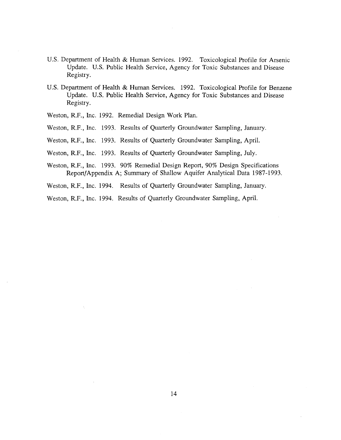- U.S. Department of Health & Human Services. 1992. Toxicological Profile for Arsenic Update. U.S. Public Health Service, Agency for Toxic Substances and Disease Registry.
- U.S. Department of Health & Human Services. 1992. Toxicological Profile for Benzene Update. U.S. Public Health Service, Agency for Toxic Substances and Disease Registry.
- Weston, RF., Inc. 1992. Remedial Design Work Plan.
- Weston, RF., Inc. 1993. Results of Quarterly Groundwater Sampling, January.
- Weston, RF., Inc. 1993. Results of Quarterly Groundwater Sampling, April.
- Weston, RF., Inc. 1993. Results of Quarterly Groundwater Sampling, July.
- Weston, RF., Inc. 1993. 90% Remedial Design Report, 90% Design Specifications Report/Appendix A; Summary of Shallow Aquifer Analytical Data 1987-1993.
- Weston, RF., Inc. 1994. Results of Quarterly Groundwater Sampling, January.
- Weston, RF., Inc. 1994. Results of Quarterly Groundwater Sampling, April.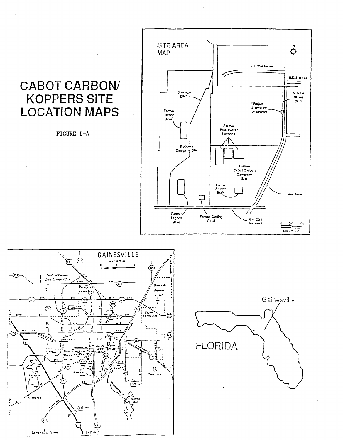# **CABOT CARBON/ KOPPERS SITE LOCATION MAPS**

 $\mathcal{F}_1$  ,  $\mathcal{F}_2$ 

 $\sim$ 

FIGURE 1-A ·







 $\mathbf{z} = \mathbf{z}$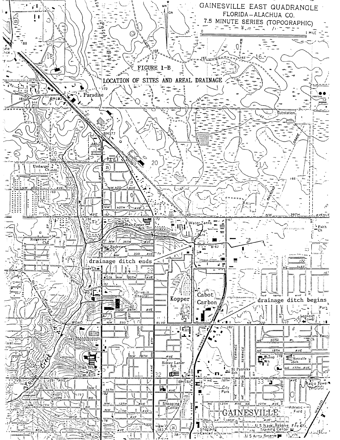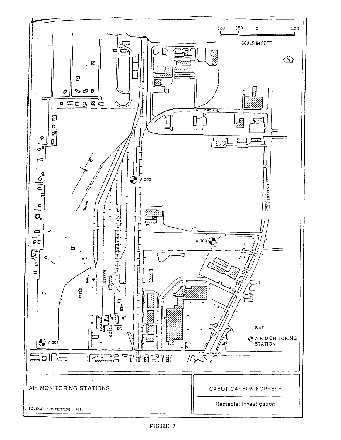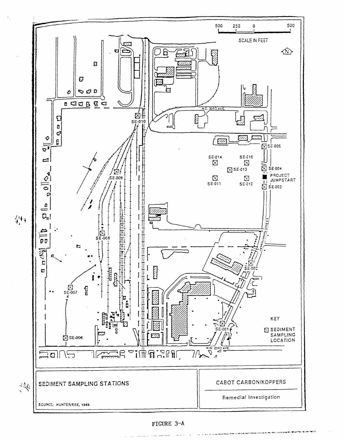

FIGURE 3-A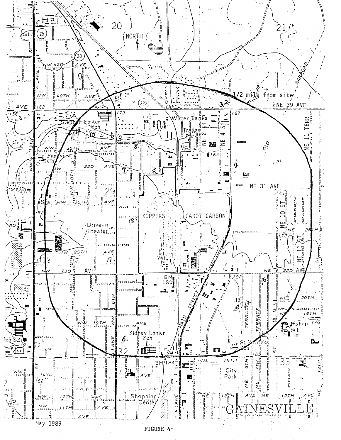